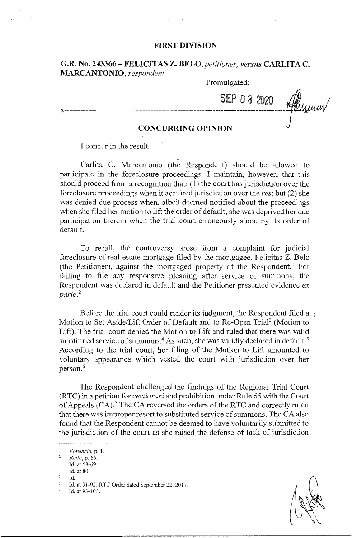## **FIRST DIVISION**

## **G.R. No. 243366-FELICITAS Z.** *BELO,petitioner, versus* **CARLITA C. MARCANTONIO,** *respondent.*

Promulgated:

SEP O 8 2020

### **CONCURRING OPINION**

I concur in the result.

Carlita C. Marcantonio (the Respondent) should be allowed to participate in the foreclosure proceedings. I maintain, however, that this should proceed from a recognition that: ( 1) the court has jurisdiction over the foreclosure proceedings when it acquired jurisdiction over the *res;* but (2) she was denied due process when, albeit deemed notified about the proceedings when she filed her motion to lift the order of default, she was deprived her due participation therein when the trial court erroneously stood by its order of default.

To recall, the controversy arose from a complaint for judicial foreclosure of real estate mortgage filed by the mortgagee, Felicitas Z. Belo (the Petitioner), against the mortgaged property of the Respondent.<sup>1</sup> For failing to file any responsive pleading after service of summons, the Respondent was declared in default and the Petitioner presented evidence ex *parte.2* 

Before the trial court could render its judgment, the Respondent filed a Motion to Set Aside/Lift Order of Default and to Re-Open Trial<sup>3</sup> (Motion to Lift). The trial court denied the Motion to Lift and ruled that there was valid substituted service of summons.<sup>4</sup> As such, she was validly declared in default.<sup>5</sup> According to the trial court, her filing of the Motion to Lift amounted to voluntary appearance which vested the court with jurisdiction over her person.<sup>6</sup>

The Respondent challenged the findings of the Regional Trial Court (R TC) in a petition for *certiorari* and prohibition under Rule 65 with the Court of Appeals (CA). 7 The CA reversed the orders of the RTC and correctly ruled that there was improper resort to substituted service of summons. The CA also found that the Respondent cannot be deemed to have voluntarily submitted to the jurisdiction of the court as she raised the defense of lack of jurisdiction

 $\begin{matrix}5 & \mathrm{Id.} \\ 6 & \mathrm{Id.}\end{matrix}$ 

<sup>1</sup>*Ponencia,* p. 1. 2 *Rollo,* **p. 65.** 

Id. at 68-69.

Id. at 80.

Id. at 91-92. RTC Order dated September 22, 2017.

Id. at 93-108.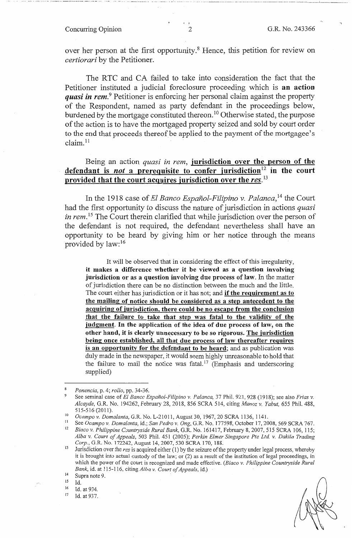# Concurring Opinion 2 G.R. No. 243366

.. ----............. --... --------·····-·· -------------- --»------~---

over her person at the first opportunity.<sup>8</sup> Hence, this petition for review on *certiorari* by the Petitioner.

The RTC and CA failed to take into consideration the fact that the Petitioner instituted a judicial foreclosure proceeding which is **an action**  *quasi in rem.* Petitioner is enforcing her personal claim against the property of the Respondent, named as party defendant in the proceedings below, burdened by the mortgage constituted thereon. 10 Otherwise stated, the purpose of the action is to have the mortgaged property seized and sold by court order to the end that proceeds thereof be applied to the payment of the mortgagee's claim. <sup>11</sup>

Being an action *quasi in rem,* **jurisdiction over the person of the defendant** is *not* **a prerequisite to confer jurisdiction** <sup>12</sup>**in the court**  provided that the court acquires jurisdiction over the res.<sup>13</sup>

In the 1918 case of *El Banco Espanol-Filipino v. Palanca,* 14 the Court had the first opportunity to discuss the nature of jurisdiction in actions *quasi in rem.*<sup>15</sup> The Court therein clarified that while jurisdiction over the person of the defendant is not required, the defendant nevertheless shall have an opportunity to be heard by giving him or her notice through the means provided by law: 16

It will be observed that in considering the effect of this irregularity, **it makes a difference whether it be viewed as a question involving**  jurisdiction or as a question involving due process of law. In the matter of jurisdiction there can be no distinction between the much and the little. The court either has jurisdiction or it has not; and if **the requirement as to the mailing of notice should be considered as a step antecedent to the acquiring of jurisdiction, there could be no escape from the conclusion that the failure to take that step was fatal to the validity of the judgment. In the application of the idea of due process of law, on the other hand, it is clearly unnecessary to be so rigorous. The jurisdiction being once established, all that due process of law thereafter requires is an opportunity for the defendant to be heard;** and as publication was duly made in the newspaper, it would seem highly unreasonable to hold that the failure to mail the notice was fatal.<sup>17</sup> (Emphasis and underscoring supplied)

 $\frac{15}{16}$  Id. at 934.<br>  $\frac{17}{17}$  Id. at 937.

<sup>8</sup>*Ponencia,* p. 4; *rollo,* pp. 34-36.

<sup>9</sup>See seminal case of *El Banco Espanol-Filipino v. Palanca,* 37 Phil. 921, 928 (1918); see also *Frias v. Alcayde,* G.R. No. 194262, February 28, 2018, 856 SCRA 514, citing *Munoz v. Yabut,* 655 Phil. 488,

<sup>515-516 (2011).&</sup>lt;br> *Ocampo v. Domalanta*, G.R. No. L-21011, August 30, 1967, 20 SCRA 1136, 1141.<br>
<sup>11</sup> See *Ocampo v. Domalanta*, id.; *San Pedro v. Ong*, G.R. No. 177598, October 17, 2008, 569 SCRA 767.<br>
<sup>12</sup> Biaco v. Phili *Alba v. Court of Appeals,* 503 Phil. 451 (2005); *Perkin Elmer Singapore Pte Ltd. v. Dakila Trading* 

<sup>&</sup>lt;sup>13</sup> Jurisdiction over the *res* is acquired either (1) by the seizure of the property under legal process, whereby it is brought into actual custody of the law; or (2) as a result of the institution of legal proceedings, in which the power of the court is recognized and made effective. *(Biaco v. Philippine Countryside Rural Bank,* id. at 115-116, citing *Alba v. Court of Appeals,* id.)

 $\frac{14}{15}$  Supra note 9.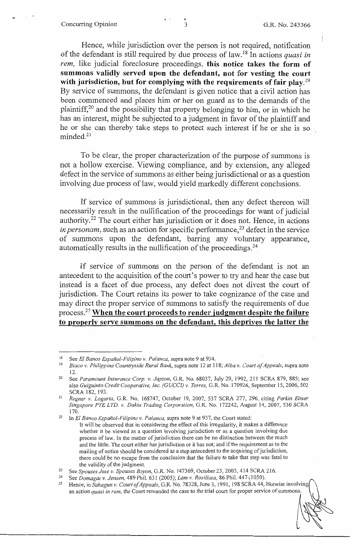### Concurring Opinion 3 G.R. No. 243366

Hence, while jurisdiction over the person is not required, notification of the defendant is still required by due process of law. 18 In actions *quasi in rem,* like judicial foreclosure proceedings, **this notice takes the form of summons validly served upon the defendant, not for vesting the court with jurisdiction, but for complying with the requirements of fair play. <sup>19</sup>** By service of summons, the defendant is given notice that a civil action has been commenced and places him or her on guard as to the demands of the plaintiff,  $20$  and the possibility that property belonging to him, or in which he has an interest, might be subjected to a judgment in favor of the plaintiff and he or she can thereby take steps to protect such interest if he or she is so minded.<sup>21</sup>

To be clear, the proper characterization of the purpose of summons is not a hollow exercise. Viewing compliance, and by extension, any alleged defect in the service of summons as either being jurisdictional or as a question involving due process of law, would yield markedly different conclusions.

If service of summons is jurisdictional, then any defect thereon will necessarily result in the nullification of the proceedings for want of judicial authority.22 The court either has jurisdiction or it does not. Hence, in actions *in personam*, such as an action for specific performance,<sup>23</sup> defect in the service of summons upon the defendant, barring any voluntary appearance, automatically results in the nullification of the proceedings. $^{24}$ 

If service of summons on the person of the defendant is not an antecedent to the acquisition of the court's power to try and hear the case but instead is a facet of due process, any defect does not divest the court of jurisdiction. The Court retains its power to take cognizance of the case and may direct the proper service of summons to satisfy the requirements of due process.<sup>25</sup>**When the court proceeds to render judgment despite the failure to properly serve summons on the defendant, this deprives the latter the** 

<sup>18</sup> See *El Banco Espanol-Filipino v. Palanca,* supra note 9 at 934.

<sup>19</sup>*Biaco v. Philippine Countryside Rural Bank,* supra note 12 at 118; *Alba v. Court of Appeals,* supra note

<sup>12. 20</sup> See *Paramount Insurance Corp. v. Japzon,* G.R. No. 68037, July 29, 1992, 211 SCRA 879, 885; see also *Guiguinto Credit Cooperative, Inc. (GUCCI) v. Torres, G.R. No. 170926, September 15, 2006, 502* SCRA 182, 193.

SCRA 182, 193. 21 *Regner v. logarta,* G.R. No. 168747, October 19, 2007, 537 SCRA 277, 296, citing *Perkin Elmer Singapore PTE LTD. v. Dakia Trading Corporation,* G.R. No. 172242, August 14, 2007, 530 SCRA 170. 22 In *El Banco Espanol-Filipino v. Palanca,* supra note 9 at 937, the Court stated:

It will be observed that in considering the effect of this irregularity, it makes a difference whether it be viewed as a question involving jurisdiction or as a question involving due process of law. In the matter of jurisdiction there can be no distinction between the much and the little. The court either has jurisdiction or it has not; and if the requirement as to the mailing of notice should be considered as a step antecedent to the acquiring of jurisdiction, there could be no escape from the conclusion that the failure to take that step was fatal to the validity of the judgment.<br>
<sup>23</sup> See *Spouses Jose v. Spouses Boyon*, G.R. No. 147369, October 23, 2003, 414 SCRA 216.<br>
<sup>24</sup> See *Domagas v. Jensen*, 489 Phil. 631 (2005); *Lam v. Rosillosa*, 86 Phil. 447 (1050).<br>
25 He

an action *quasi in rem,* the Court remanded the case to the trial court for proper service of summons.